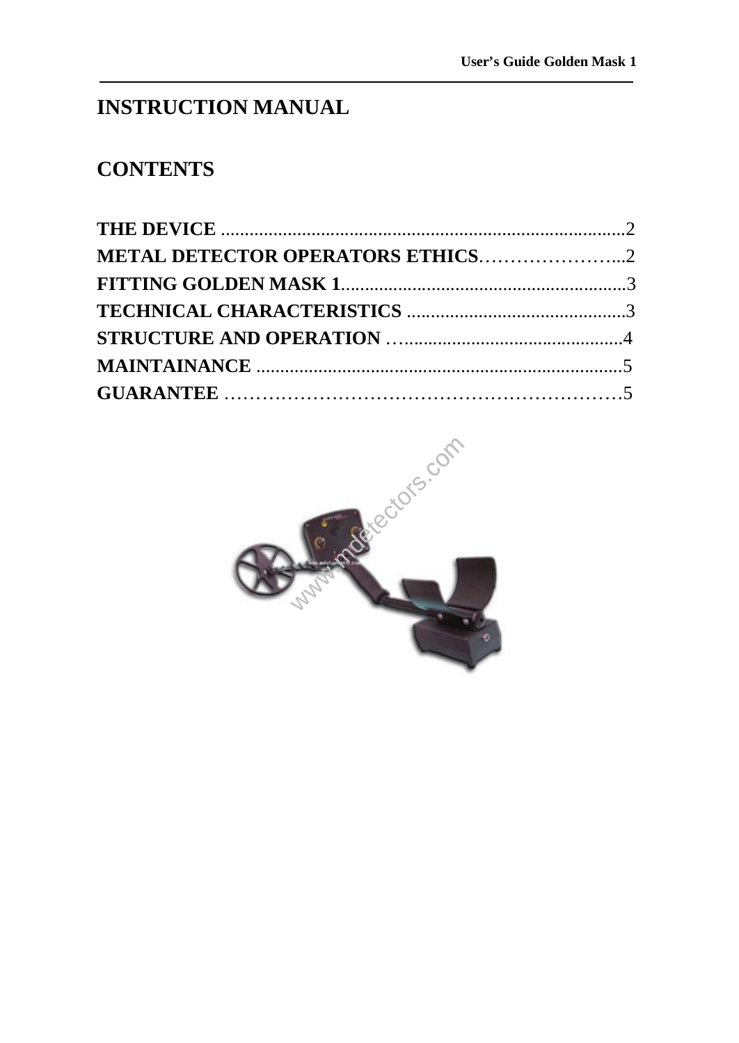# **INSTRUCTION MANUAL**

# **CONTENTS**

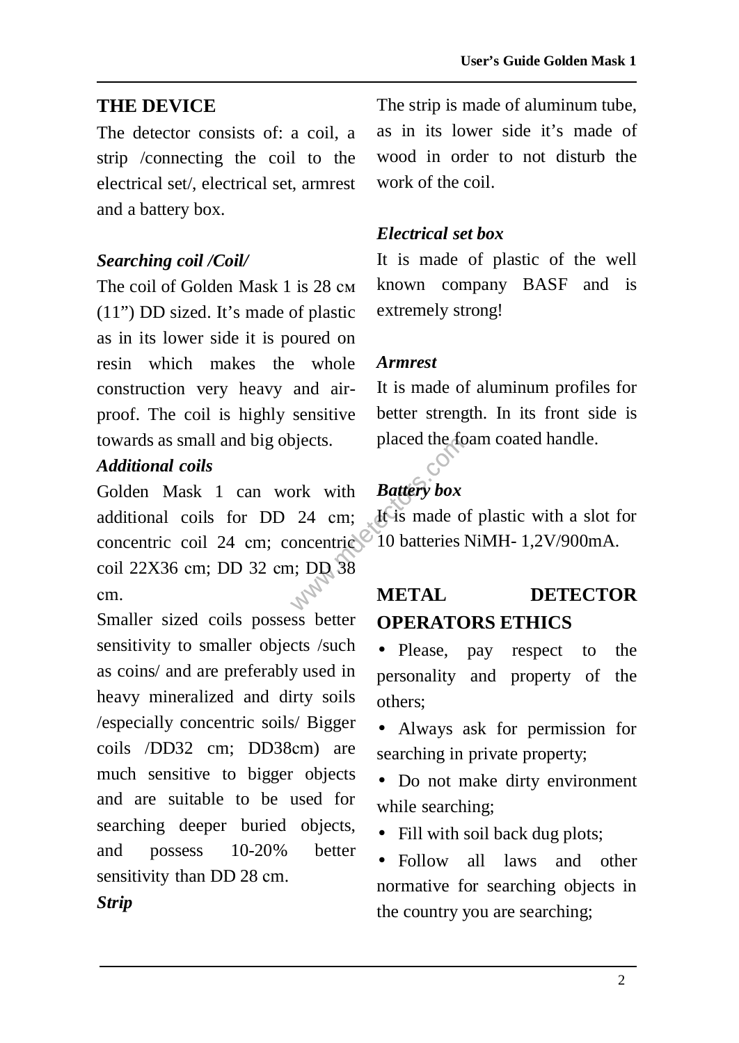### **THE DEVICE**

The detector consists of: a coil, a strip /connecting the coil to the electrical set/, electrical set, armrest and a battery box.

#### *Searching coil /Coil/*

The coil of Golden Mask 1 is 28 см (11") DD sized. It's made of plastic as in its lower side it is poured on resin which makes the whole construction very heavy and airproof. The coil is highly sensitive towards as small and big objects.

### *Additional coils*

by external contracts.<br>
Subseted the set of the set of the set of the set of once<br>
the set of the set of the set of the set of the set of the set of the set of the set of the set of the set of the set of the set of the se Golden Mask 1 can work with additional coils for DD 24 сm; concentric coil 24 cm; concentric coil 22X36 сm; DD 32 сm; DD 38 сm.

Smaller sized coils possess better sensitivity to smaller objects /such as coins/ and are preferably used in heavy mineralized and dirty soils /especially concentric soils/ Bigger coils /DD32 cm; DD38сm) are much sensitive to bigger objects and are suitable to be used for searching deeper buried objects, and possess 10-20% better sensitivity than DD 28 сm.

The strip is made of aluminum tube, as in its lower side it's made of wood in order to not disturb the work of the coil

#### *Electrical set box*

It is made of plastic of the well known company BASF and is extremely strong!

#### *Armrest*

It is made of aluminum profiles for better strength. In its front side is placed the foam coated handle.

## *Battery box*

It is made of plastic with a slot for 10 batteries NiMH- 1,2V/900mA.

## **METAL DETECTOR OPERATORS ETHICS**

• Please, pay respect to the personality and property of the others;

• Always ask for permission for searching in private property;

• Do not make dirty environment while searching;

• Fill with soil back dug plots;

• Follow all laws and other normative for searching objects in the country you are searching;

#### *Strip*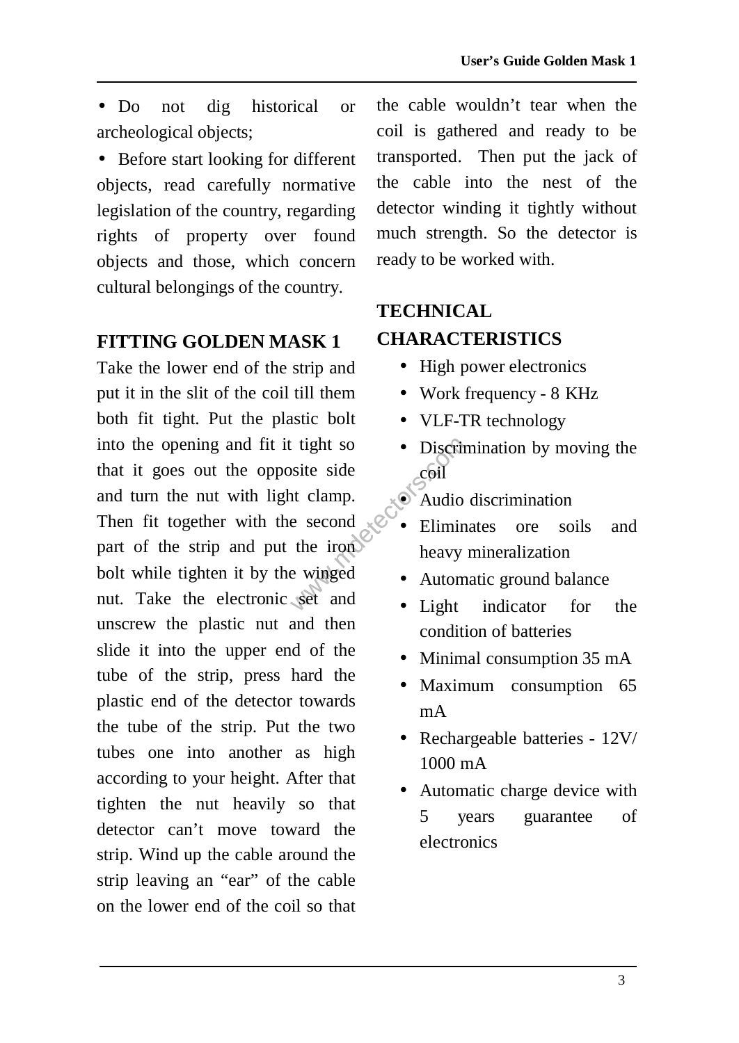• Do not dig historical or archeological objects;

• Before start looking for different objects, read carefully normative legislation of the country, regarding rights of property over found objects and those, which concern cultural belongings of the country.

## **FITTING GOLDEN MASK 1**

The side of the side<br>
in the second<br>
the iron of the iron of the iron of the iron of the interval<br>
e second the iron of the second the iron of the second the second the second the second the second the second the second th Take the lower end of the strip and put it in the slit of the coil till them both fit tight. Put the plastic bolt into the opening and fit it tight so that it goes out the opposite side and turn the nut with light clamp. Then fit together with the second part of the strip and put the iron bolt while tighten it by the winged nut. Take the electronic set and unscrew the plastic nut and then slide it into the upper end of the tube of the strip, press hard the plastic end of the detector towards the tube of the strip. Put the two tubes one into another as high according to your height. After that tighten the nut heavily so that detector can't move toward the strip. Wind up the cable around the strip leaving an "ear" of the cable on the lower end of the coil so that

the cable wouldn't tear when the coil is gathered and ready to be transported. Then put the jack of the cable into the nest of the detector winding it tightly without much strength. So the detector is ready to be worked with.

## **TECHNICAL CHARACTERISTICS**

- High power electronics
- Work frequency 8 KHz
- VLF-TR technology
- Discrimination by moving the coil
- Audio discrimination
- Eliminates ore soils and heavy mineralization
- Automatic ground balance
- Light indicator for the condition of batteries
- Minimal consumption 35 mA
- Maximum consumption 65 mA
- Rechargeable batteries  $12V/$ 1000 mA
- Automatic charge device with 5 years guarantee of electronics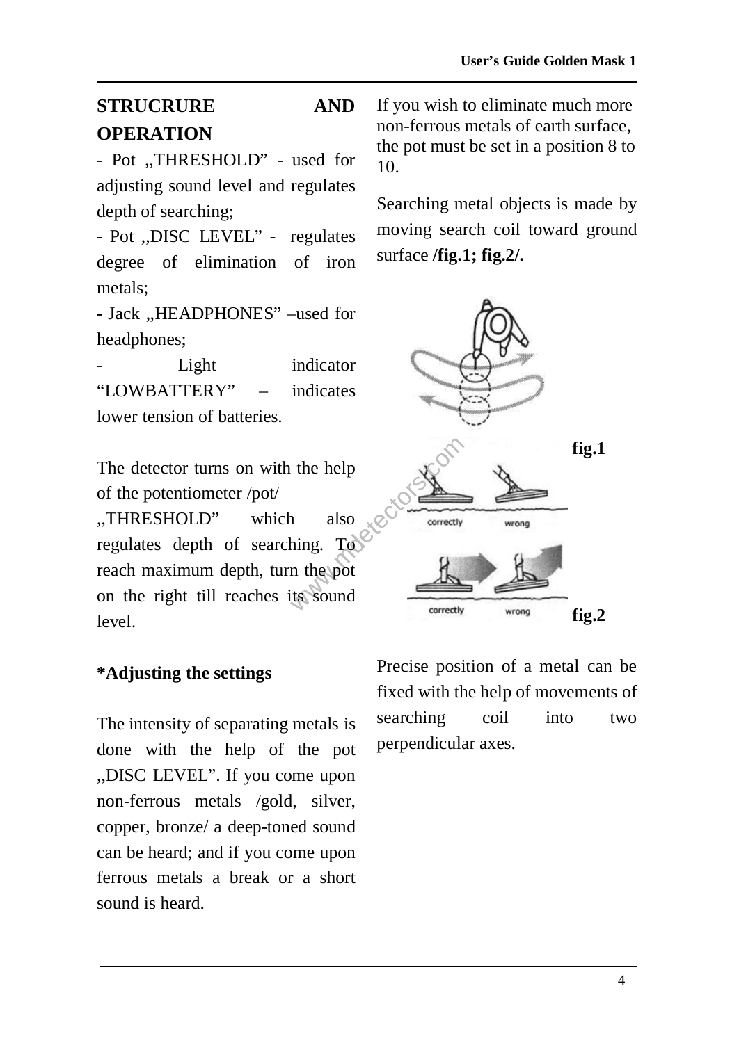# **STRUCRURE AND OPERATION**

- Pot ,,THRESHOLD" - used for adjusting sound level and regulates depth of searching;

- Pot ,,DISC LEVEL" - regulates degree of elimination of iron metals;

- Jack ,,HEADPHONES" –used for headphones;

Light indicator "LOWBATTERY" – indicates lower tension of batteries.

The detector turns on with the help of the potentiometer /pot/

,,THRESHOLD" which also regulates depth of searching. To reach maximum depth, turn the pot on the right till reaches its sound level.

### **\*Adjusting the settings**

The intensity of separating metals is done with the help of the pot ,,DISC LEVEL". If you come upon non-ferrous metals /gold, silver, copper, bronze/ a deep-toned sound can be heard; and if you come upon ferrous metals a break or a short sound is heard.

If you wish to eliminate much more non-ferrous metals of earth surface, the pot must be set in a position 8 to 10.

Searching metal objects is made by moving search coil toward ground surface **/fig.1; fig.2/.**



Precise position of a metal can be fixed with the help of movements of searching coil into two perpendicular axes.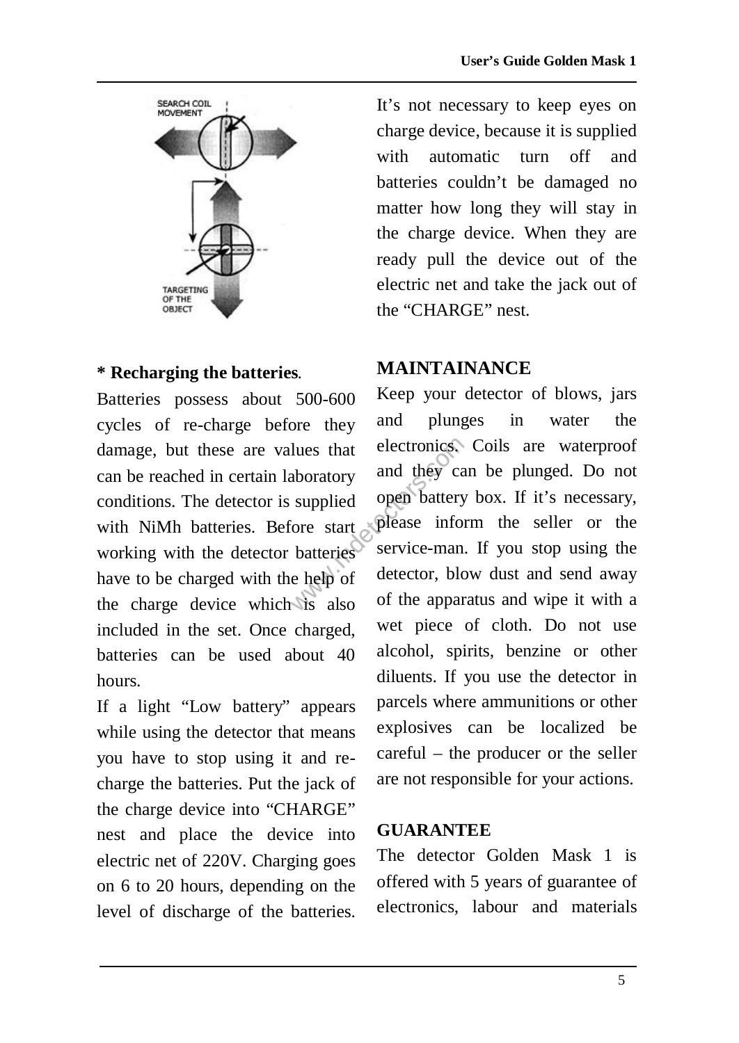

#### **\* Recharging the batteries**.

Batteries possess about 500-600 cycles of re-charge before they damage, but these are values that can be reached in certain laboratory conditions. The detector is supplied with NiMh batteries. Before start working with the detector batteries have to be charged with the help of the charge device which is also included in the set. Once charged, batteries can be used about 40 hours.

If a light "Low battery" appears while using the detector that means you have to stop using it and recharge the batteries. Put the jack of the charge device into "CHARGE" nest and place the device into electric net of 220V. Charging goes on 6 to 20 hours, depending on the level of discharge of the batteries. It's not necessary to keep eyes on charge device, because it is supplied with automatic turn off and batteries couldn't be damaged no matter how long they will stay in the charge device. When they are ready pull the device out of the electric net and take the jack out of the "CHARGE" nest.

### **MAINTAINANCE**

lues that electronics.<br>
aboratory and they car<br>
supplied open battery<br>
ore start please inform<br>
batteries service-man.<br>
e help of detector, blow<br>
six also of the appara Keep your detector of blows, jars and plunges in water the electronics. Coils are waterproof and they can be plunged. Do not open battery box. If it's necessary, please inform the seller or the service-man. If you stop using the detector, blow dust and send away of the apparatus and wipe it with a wet piece of cloth. Do not use alcohol, spirits, benzine or other diluents. If you use the detector in parcels where ammunitions or other explosives can be localized be careful – the producer or the seller are not responsible for your actions.

#### **GUARANTEE**

The detector Golden Mask 1 is offered with 5 years of guarantee of electronics, labour and materials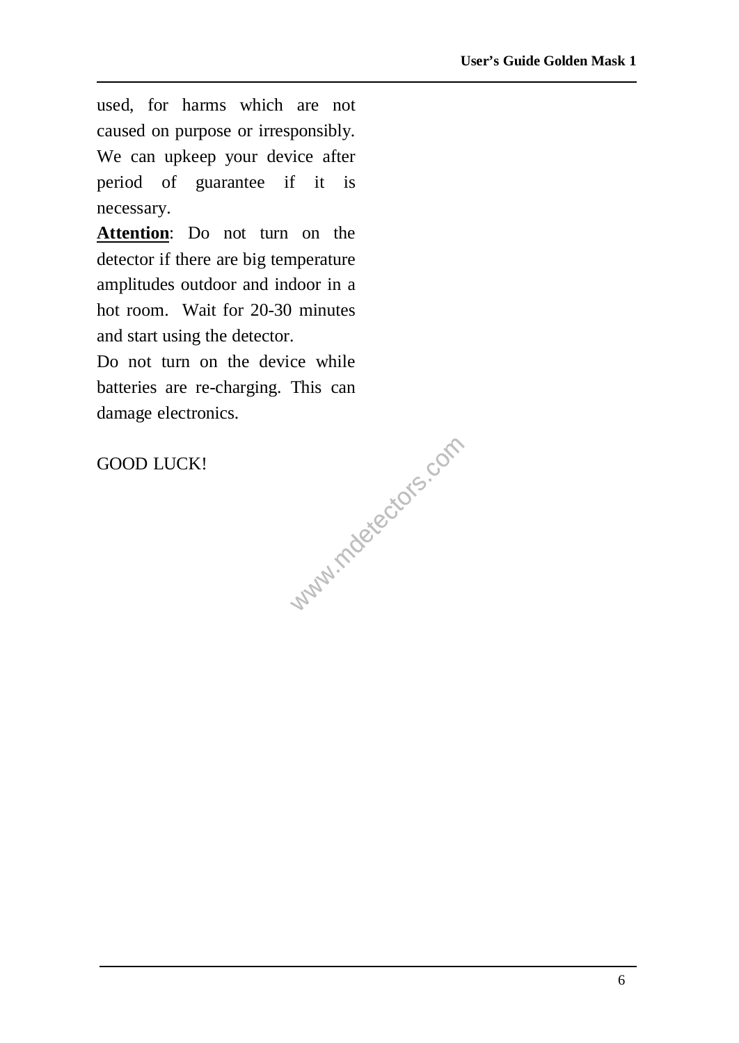used, for harms which are not caused on purpose or irresponsibly. We can upkeep your device after period of guarantee if it is necessary.

**Attention**: Do not turn on the detector if there are big temperature amplitudes outdoor and indoor in a hot room. Wait for 20-30 minutes and start using the detector.

www.mdetectors.com Do not turn on the device while batteries are re-charging. This can damage electronics.

GOOD LUCK!